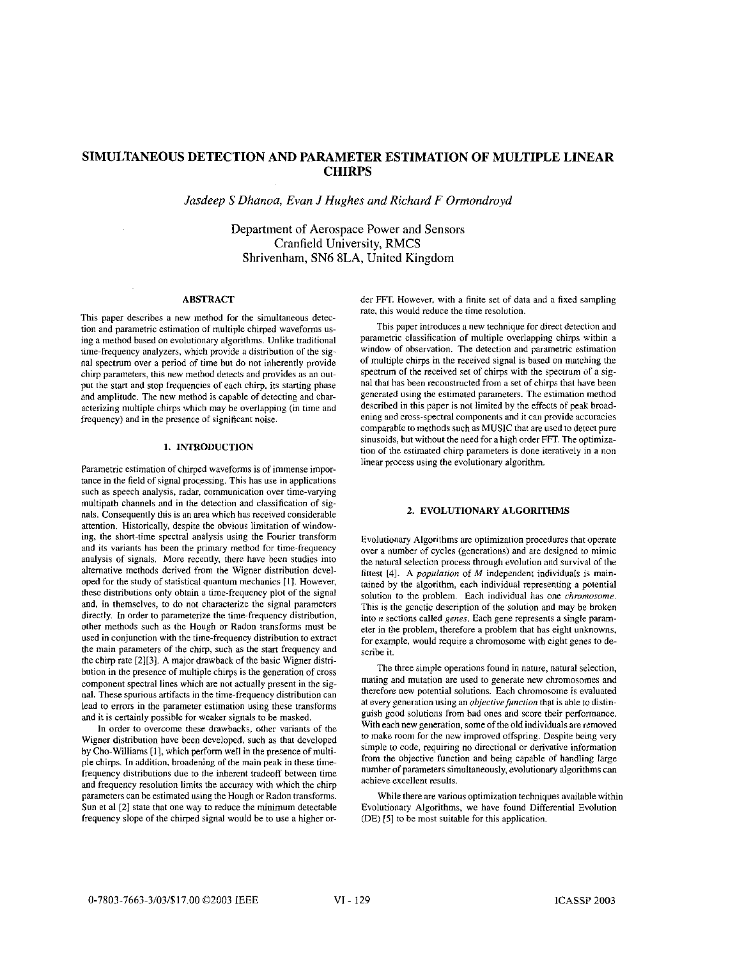# **SIMULTANEOUS DETECTION AND PARAMETER ESTIMATION OF MULTIPLE LINEAR CHIRPS**

*Jasdeep S Dhanoa, Evan J Hughes and Richard F Ormondroyd* 

Department of Aerospace Power and Sensors Cranfield University, RMCS Shrivenham, SN6 8LA, United Kingdom

# **ABSTRACT**

This paper describes a new method for the simultaneous detection and parametric estimation of multiple chirped waveforms **us**ing a method based on evolutionary algorithms. Unlike traditional time-frequency analyzers, which provide a distribution of the signal spectrum over a period of time but do not inherently provide chirp parameters, this new method detects and provides as an output the start and stop frequencies of each chirp, its starting phase and amplitude. The new method is capable of detecting and characterizing multiple chirps which may be overlapping (in time and frequency) and in the presence of significant noise.

## **1. INTRODUCTION**

Parametric estimation of chirped waveforms is of immense importance in the field of signal processing. This has use in applications such as speech analysis, radar, communication over time-varying multipath channels and in the detection and classification of signals. Consequently this is an area which has received considerable attention. Historically, despite the obvious limitation of windowing, the short-time spectral analysis using the Fourier transform and its variants has been the primary method for time-frequency analysis of signals. More recently, there have been studies into altemative methods derived from the Wigner distribution developed for the study of statistical quantum mechanics [l]. However, these distributions only obtain a time-frequency plot of the signal and, **in** themselves, to do not characterize the signal parameters directly. In order to parameterize the time-frequency distribution, other methods such as the Hough or Radon transforms must be used in conjunction with the time-frequency distribution to extract the main parameters of the chirp, such as the start frequency and the chirp rate [21[3]. A major drawback of the basic Wigner distribution in the presence of multiple chirps is the generation of cross component spectral lines which are not actually present in the signal. These spurious artifacts in the time-frequency distribution can lead to errors in the parameter estimation using these transforms and it is certainly possible for weaker signals to be masked.

In order to overcome these drawbacks, other variants of the Wigner distribution have been developed, such as that developed by Cho-Williams [1], which perform well in the presence of multiple chirps. In addition, broadening of the main peak in these timefrequency distributions due to the inherent tradeoff between time and frequency resolution limits the accuracy with which the chirp parameters can he estimated using the Hough or Radon transforms. Sun et al [2] state that one way to reduce the minimum detectable frequency slope of the chirped signal would be to use a higher **or-** der FFT. However, with a finite set of data and a fixed sampling rate, this would reduce the time resolution.

This paper introduces a new technique for direct detection and parametric classification of multiple overlapping chirps within a window of observation. The detection and parametric estimation of multiple chirps in the received signal is based on matching the spectrum of the received set of chirps with the spectrum of a signal that has been reconstructed from a set of chirps that have been generated using the estimated parameters. The estimation method described in this paper is not limited by the effects of peak broadening and cross-spectral components and it can provide accuracies comparable to methods such as MUSIC that are used to detect pure sinusoids, but without the need for a high order FFT. The optimization of the estimated chirp parameters is done iteratively in a non linear process using the evolutionary algorithm.

### **2. EVOLUTIONARY ALGORITHMS**

Evolutionary Algorithms are optimization procedures that operate over a number of cycles (generations) and are designed to mimic the natural selection process through evolution and survival of the fittest 141. A *population* of *M* independent individuals is maintained by the algorithm, each individual representing a potential solution to the problem. Each individual has one *chromosome*. This is the genetic description of the solution and may be broken into *n* sections called *genes.* Each gene represents a single paraneter in the problem, therefore a problem that has eight unknowns, for example, would require a chromosome with eight genes to describe it.

The three simple operations found in nature, natural selection, mating and mutation are used to generate new chromosomes and therefore new potential solutions. Each chromosome is evaluated at every generation using an *objective function* that is able to distinguish good solutions from bad ones and score their performance. With each new generation, some of the old individuals are removed to make room for the new improved offspring. Despite being very simple to code, requiring no directional or derivative information from the objective function and being capable of handling large number of parameters simultaneously, evolutionary algorithms can achieve excellent results.

While there are various optimization techniques available within Evolutionary Algorithms, we have found Differential Evolution (DE) *[5]* to he most suitable for this application.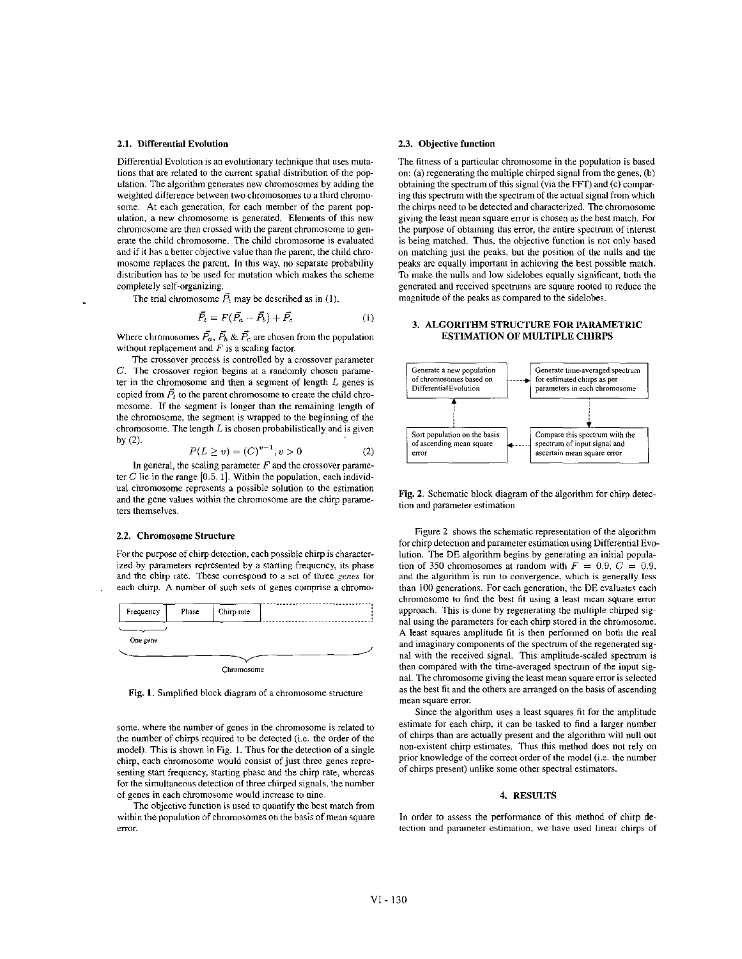#### <span id="page-1-0"></span>**2.1.** Differential Evolution

Differential Evolution is an evolutionary technique that uses mutations that are related to the current spatial distribution of the population. The algorithm generates new chromosomes by adding the weighted difference between two chromosomes to a third chromosome. At each generation, for each member of the parent population, a new chromosome is generated. Elements of this new chromosome are then crossed with the parent chromosome to generate the child chromosome. The child chromosome is evaluated and if it has a better objective value than the parent, the child chromosome replaces the parent. In this way, no separate probability distribution has to be used for mutation which makes the scheme completely self-organizing.

The trial chromosome  $\vec{P}_t$  may be described as in (1).

$$
\vec{P}_t = F(\vec{P}_a - \vec{P}_b) + \vec{P}_c \tag{1}
$$

Where chromosomes  $\vec{P}_a$ ,  $\vec{P}_b$  &  $\vec{P}_c$  are chosen from the population without replacement and *F* is a scaling factor.

The crossover process is controlled by a crossover parameter C. The crossover region begins at a randomly chosen parameter in the chromosome and then a segment of length *L* genes is copied from  $\vec{P}_t$  to the parent chromosome to create the child chromosome. **If** the segment **is** longer than the remaining length of the chromosome, the segment is wrapped to the beginning of the chromosome. The length  $L$  is chosen probabilistically and is given by *(2).* 

$$
P(L \ge v) = (C)^{v-1}, v > 0 \tag{2}
$$

In general, the scaling parameter *F* and the crossover parameter C lie in the range  $[0.5, 1]$ . Within the population, each individual chromosome represents a possible solution to the estimation and the gene values within the chromosome are the chirp parameters themselves.

#### **2.2.** Chromosome **Structure**

For the purpose of chirp detection, each possible chirp is characterized by parameters represented by a starting frequency, its phase and the chirp rate. These correspond to **a** set of three *genes* **for**  each chirp. **A** number of such sets of genes comprise a chromo-



Fig. **1.** Simplified block diagram of a chromosome structure

some. where the number of genes in the chromosome is related to the number of chirps required to he detected (i.e. the order of the model). This is shown in Fig. 1. Thus for the detection of **a** single chirp, each chromosome would consist of just three genes representing start frequency, starting phase and the chirp rate, whereas for the simultaneous detection of three chirped signals, the number of genes in each chromosome would increase to nine.

The objective function is used to quantify the best match from within the population of chromosomes on the basis of mean square error.

#### **2.3.** Objective function

The fitness of a particular chromosome in the population is based on: (a) regenerating the multiple chirped signal from the genes, (b) obtaining the spectrum of this signal (via the FIT) and (c) comparing this spectrum with the spectrum of the actual signal from which the chirps need to be detected and characterized. The chromosome giving the least mean square error is chosen as the best match. For the purpose of obtaining this error, the entire spectrum of interest is being matched. Thus, the objective function is not only based on matching just the peaks, but the position of the nulls and the peaks are equally important in achieving the best possible match. To make the nulls and low sidelobes equally significant, both the generated and received spectrums are square rooted to reduce the magnitude of the peaks as compared to the sidelobes. 3. **Objective function**<br>
the function<br>
function for a particular chromosome in the population is based<br>
to fit of regenerating the matterial chindren sheeps from the genes, (b)<br>
this spectrum of this signal (vai the FFT)

## **3.** ALGORITHM STRUCTURE FOR PARAMETRIC ESTIMATION **OF** MULTIPLE CHIRPS



Fig. *2.* Schematic block diagram of the algorithm for chirp detection and parameter estimation

Figure **2** shows the schematic representation of the algorithm for chirp detection and parameter estimation using Differential Evo. lution. The DE algorithm begins by generating an initial population of 350 chromosomes at random with  $F = 0.9, C = 0.9$ , and **the** algorithm **is** run to convergence, which **is** generally **less**  than 100 generations. For each generation, the DE evaluates each chromosome to find the best fit using **a** least mean square error approach. This is done by regenerating the multiple chirped sig**nal** using the parameters for each chirp stored in the chromosome. **A** least squues amplitude fit is then performed on both the real and imaginary components **of** the spectrum of the regenerated signal with the received signal. This amplitude-scaled spectrum is then compared with the time-averaged spectrum of the input signal. The chromosome giving the least mean square error is selected **as** the best fit and the others **are** arranged on the basis of ascending mean square error.

Since the algorithm uses a least squares fit **for** the amplitude estimate for each chirp, it can be tasked to find **a** larger number of chirps than are actually present and the algorithm will null out non-existent chirp estimates. Thus this method does not rely on prior knowledge of the correct order of the model (i.e. the number of chirps present) unlike some other spectral estimators.

#### **4.** RESULTS

In order to assess the performance of this method of chirp detection and parameter estimation, we have used linear chirps of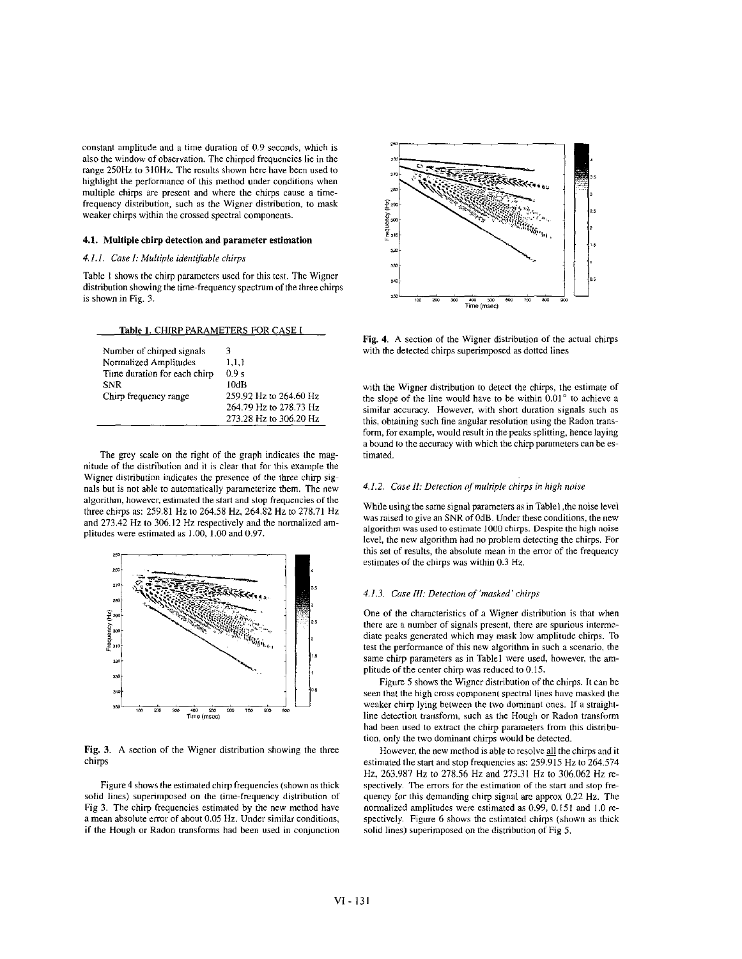constant amplitude and a time duration of 0.9 seconds, which is also the window of observation. The chirped frequencies lie in the range 250Hz to 310Hz. The results shown here have been used to highlight the performance of this method under conditions when multiple chirps are present and where the chirps cause a timefrequency distribution, such as the Wigner distribution, to mask weaker chirps within the crossed spectral components.

## **4.1.** Multiple chirp detection and parameter estimation

## *4.1.1. Case I: Multiple identifable chirps*

Table 1 shows the chirp parameters used for this test. The Wigner distribution showing the time-frequency spectrum of the three chirps is shown in Fig. 3.

|  | <b>Table 1. CHIRP PARAMETERS FOR CASE I</b> |  |
|--|---------------------------------------------|--|
|  |                                             |  |

| Number of chirped signals<br>Normalized Amplitudes<br>Time duration for each chirp<br><b>SNR</b><br>Chirp frequency range | 3<br>1.1.1<br>0.9 s<br>10dB<br>259.92 Hz to 264.60 Hz |
|---------------------------------------------------------------------------------------------------------------------------|-------------------------------------------------------|
|                                                                                                                           | 264.79 Hz to 278.73 Hz                                |
|                                                                                                                           | 273.28 Hz to 306.20 Hz                                |

The grey scale on the right of the graph indicates the magnitude of the distribution and it is clear that for this example the Wigner distribution indicates the presence of the three chirp signals but is not able to automatically parameterize them. The new algorithm, however, estimated the start and stop frequencies of the three chirps as: 259.81 Hz to 264.58 Hz, 264.82 Hz to 278.71 HZ and 213.42 Hz to 306.12 **Hz** respectively and the normalized amplitudes **were** estimated **as** 1.00, 1.00 and *0.97.* 



**Fig. 3. A** section of the Wigner distribution showing the three chirps

Figure 4 shows the estimated chirp frequencies (shown as thick solid lines) superimposed on the time-frequency distribution of Fig 3. The chirp frequencies estimated by the new method have a mean absolute error of about 0.05 *Hr.* Under similar conditions, if the Hough or Radon transforms had been used in conjunction



**Fig. 4.** A section of the Wigner distribution of the actual chirps with the detected chirps superimposed as dotted lines

with the Wigner distribution to detect the chirps, the estimate of the slope of the line would have to be within  $0.01^\circ$  to achieve a similar accuracy. However, with short duration signals such as this, obtaining such fine angular resolution using the Radon transform, for example, would result in the peaks splitting, hence laying a hound to the accuracy with which the chirp parameters can be estimated.

## *4.1.2. Case 11: Detection of multiple chirps in high noise*

While using the same signal parameters as in Tablel ,the noise level was raised to give an SNR of OdB. Under these conditions, the new algorithm was **used to** estimate **1000** chirps. Despite thc high **noise**  level, the new algorithm had no problem detecting the chirps. For this set of results, the absolute mean in the error of the frequency estimates of the chirps was within 0.3 Hz.

#### *4.1.3. Case Ill: Detection of 'masked' chirps*

One of the characteristics of a Wigner distribution is that when there are a number of signals present, there are spurious intermediate peaks generated which may mask low amplitude chirps. To test the performance of this new algorithm in such a scenario, the same chirp parameters as in Table1 were used, however, the amplitude of the center chirp was reduced to 0.15.

Figure 5 shows the Wigner distribution of the chirps. It can be seen that the high cross component spectral lines have masked the weaker chirp lying between the two dominant ones. If a straightline detection transform, such as the Hough or Radon transform had been used to extract the chirp parameters from this distribution, only the two dominant chirps would be detected.

However, the new method is able to resolve all the chirps and it estimated the start and stop frequencies as: 259.915 Hz to 264.574 Hz, 263.987 Hr to **278.56** Hz and 273.31 **Hz** to 306.062 Hz respectively. The errors for the estimation of the start and stop frequency for this demanding chirp signal are approx 0.22 **Hz.** The normalized amplitudes were estimated as 0.99, *0.* I5 I and I *.O* respectively. [Figure 6](#page-3-0) shows the estimated chirps (shown as thick solid lines) superimposed on the distribution of [Fig](#page-3-0) *5.*